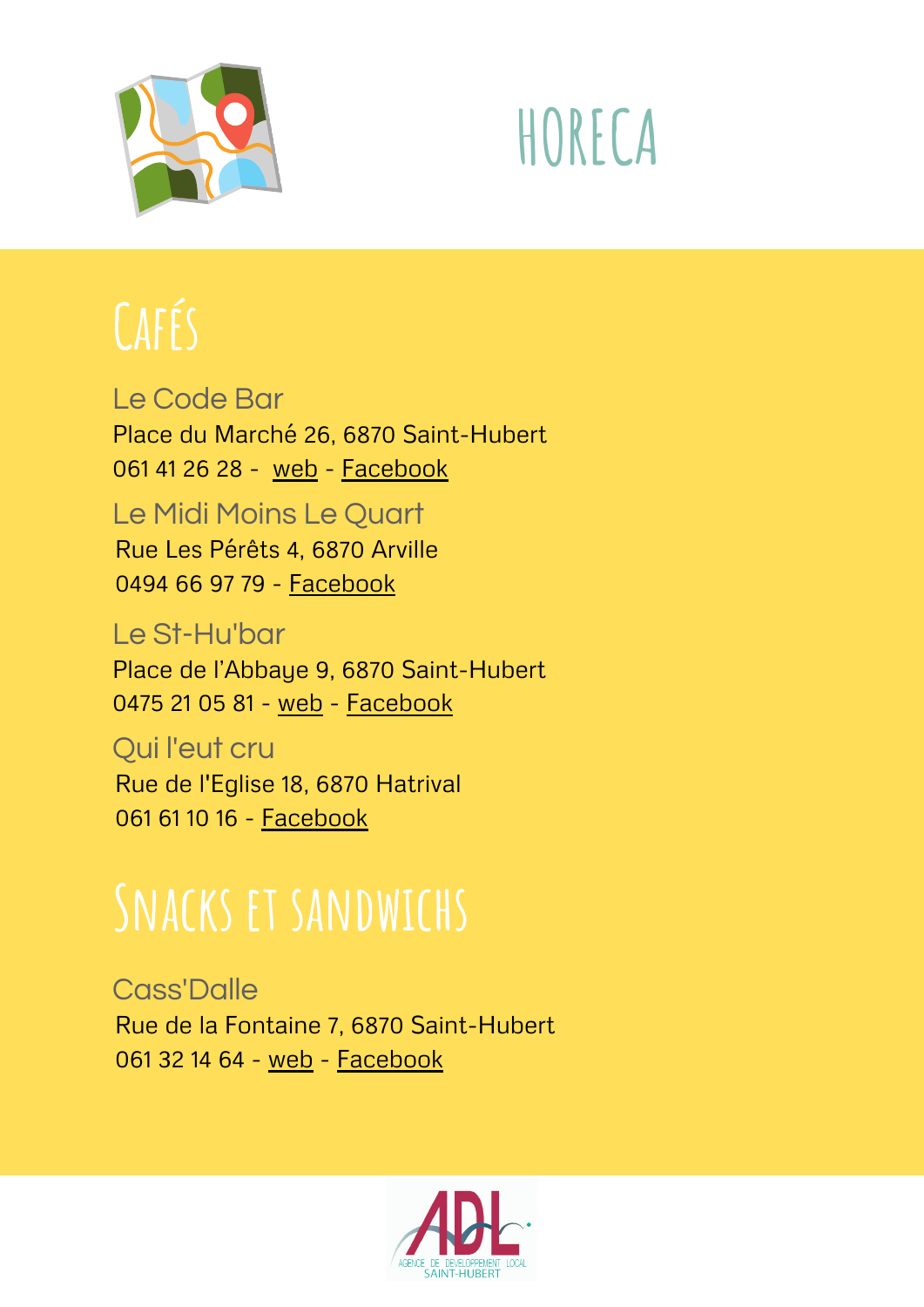



# **Cafés**

Le Code Bar Place du Marché 26, 6870 Saint-Hubert 061 41 26 28 - [web](http://www.codebar.be/) - [Facebook](https://www.facebook.com/CodeBarSH)

Le Midi Moins Le Quart Rue Les Pérêts 4, 6870 Arville 0494 66 97 79 - [Facebook](https://www.facebook.com/lemidimoinslequart)

Le St-Hu'bar Place de l'Abbaye 9, 6870 Saint-Hubert 0475 21 05 81 - [web](http://www.st-hubar.be/) - [Facebook](https://www.facebook.com/StHuBAR)

Qui l'eut cru Rue de l'Eglise 18, 6870 Hatrival 061 61 10 16 - [Facebook](https://www.facebook.com/groups/546816282885575)

# **Snacks et sandwichs**

Cass'Dalle Rue de la Fontaine 7, 6870 Saint-Hubert 061 32 14 64 - [web](http://johanrock.wix.com/lecassdalle) - [Facebook](https://www.facebook.com/cassdallesainthubert)

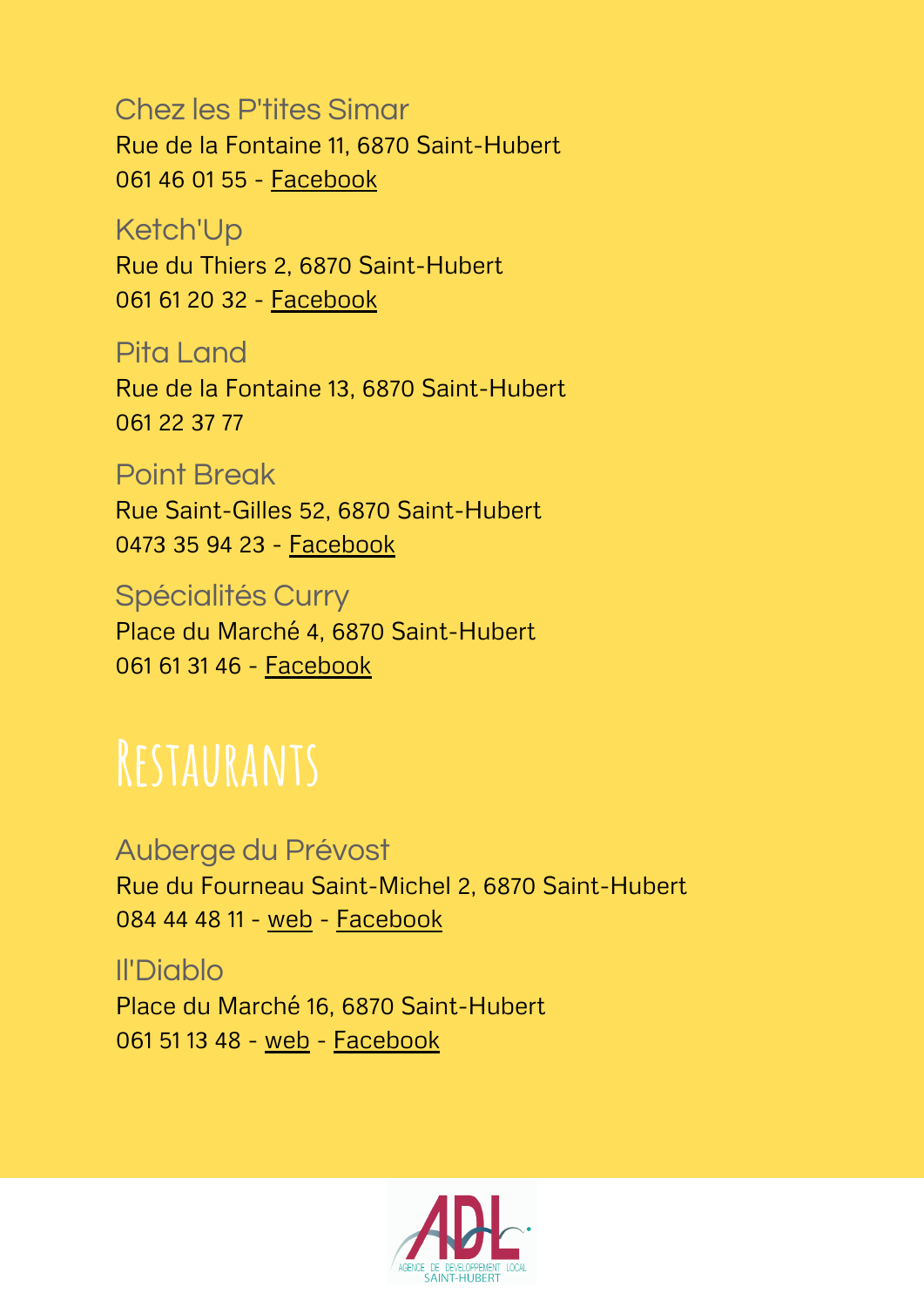#### Chez les P'tites Simar

Rue de la Fontaine 11, 6870 Saint-Hubert 061 46 01 55 - [Facebook](https://www.facebook.com/Maison-Simar-1582041578709561)

#### Ketch'Up

Rue du Thiers 2, 6870 Saint-Hubert 061 61 20 32 - [Facebook](https://www.facebook.com/GILLARD.GIGI)

#### Pita Land

Rue de la Fontaine 13, 6870 Saint-Hubert 061 22 37 77

#### Point Break

Rue Saint-Gilles 52, 6870 Saint-Hubert 0473 35 94 23 - [Facebook](https://www.facebook.com/6870PointBreak)

#### Spécialités Curry

Place du Marché 4, 6870 Saint-Hubert 061 61 31 46 - [Facebook](https://www.facebook.com/Sp%C3%A9cialit%C3%A9s-en-curry-Pakistannaises-et-indiennes-105371484608339)

# **Restaurants**

#### Auberge du Prévost

Rue du Fourneau Saint-Michel 2, 6870 Saint-Hubert 084 44 48 11 - [web](http://aubergeduprevost.be/) - [Facebook](https://www.facebook.com/Auberge-du-Pr%C3%A9vost-917442081656750)

# Il'Diablo

Place du Marché 16, 6870 Saint-Hubert 061 51 13 48 - [web](http://www.ildiablo.be/) - [Facebook](https://www.facebook.com/Il-diablo-Saint-Hubert-1608708836020657)

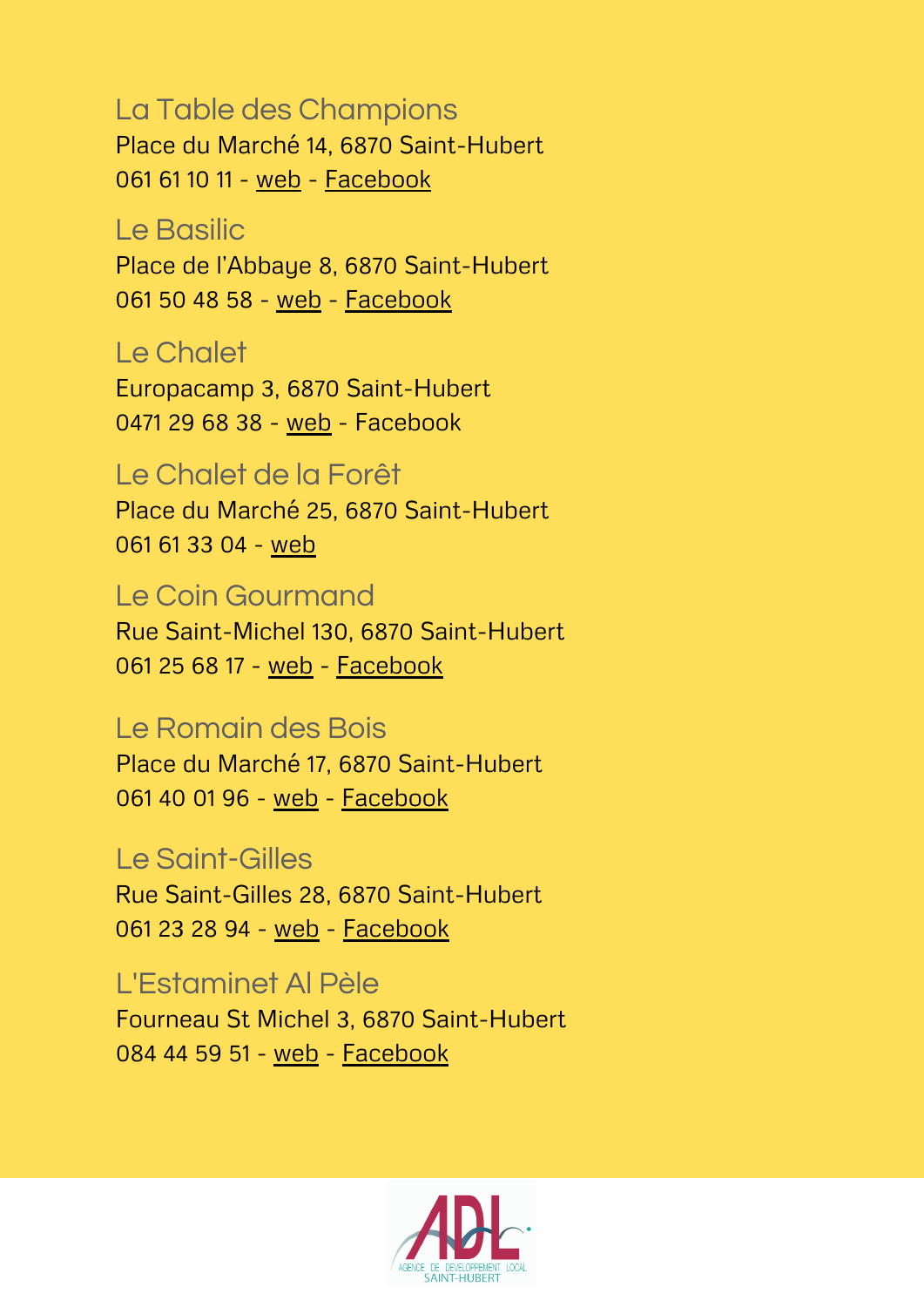## La Table des Champions

Place du Marché 14, 6870 Saint-Hubert 061 61 10 11 - [web](http://www.latabledeschampions.be/) - [Facebook](https://www.facebook.com/LaTableDesChampions)

#### Le Basilic

Place de l'Abbaye 8, 6870 Saint-Hubert 061 50 48 58 - [web](http://www.le-basilic.be/) - [Facebook](https://www.facebook.com/Le-Basilic-125696090876877)

#### Le Chalet

Europacamp 3, 6870 Saint-Hubert 0471 29 68 38 - [web](http://www.camping-europacamp.be/restaurant.html) - Facebook

## Le Chalet de la Forêt

Place du Marché 25, 6870 Saint-Hubert 061 61 33 04 - [web](http://www.chaletdelaforet.com/)

#### Le Coin Gourmand

Rue Saint-Michel 130, 6870 Saint-Hubert 061 25 68 17 - [web](https://wallux.com/le-coin-gourmand-saint-hubert) - [Facebook](https://www.facebook.com/BrasserieRestaurantLeCoinGourmand)

## Le Romain des Bois

Place du Marché 17, 6870 Saint-Hubert 061 40 01 96 - [web](http://www.romain-des-bois.com/) - [Facebook](https://www.facebook.com/restaurantromaindesbois)

#### Le Saint-Gilles

Rue Saint-Gilles 28, 6870 Saint-Hubert 061 23 28 94 - [web](http://www.lesaintgilles.be/) - [Facebook](https://www.facebook.com/Restaurant-Le-Saint-Gilles-306050809412688)

#### L'Estaminet Al Pèle

Fourneau St Michel 3, 6870 Saint-Hubert 084 44 59 51 - [web](http://www.wallux.com/alpele-saint-hubert) - [Facebook](https://www.facebook.com/alpelefourneau)

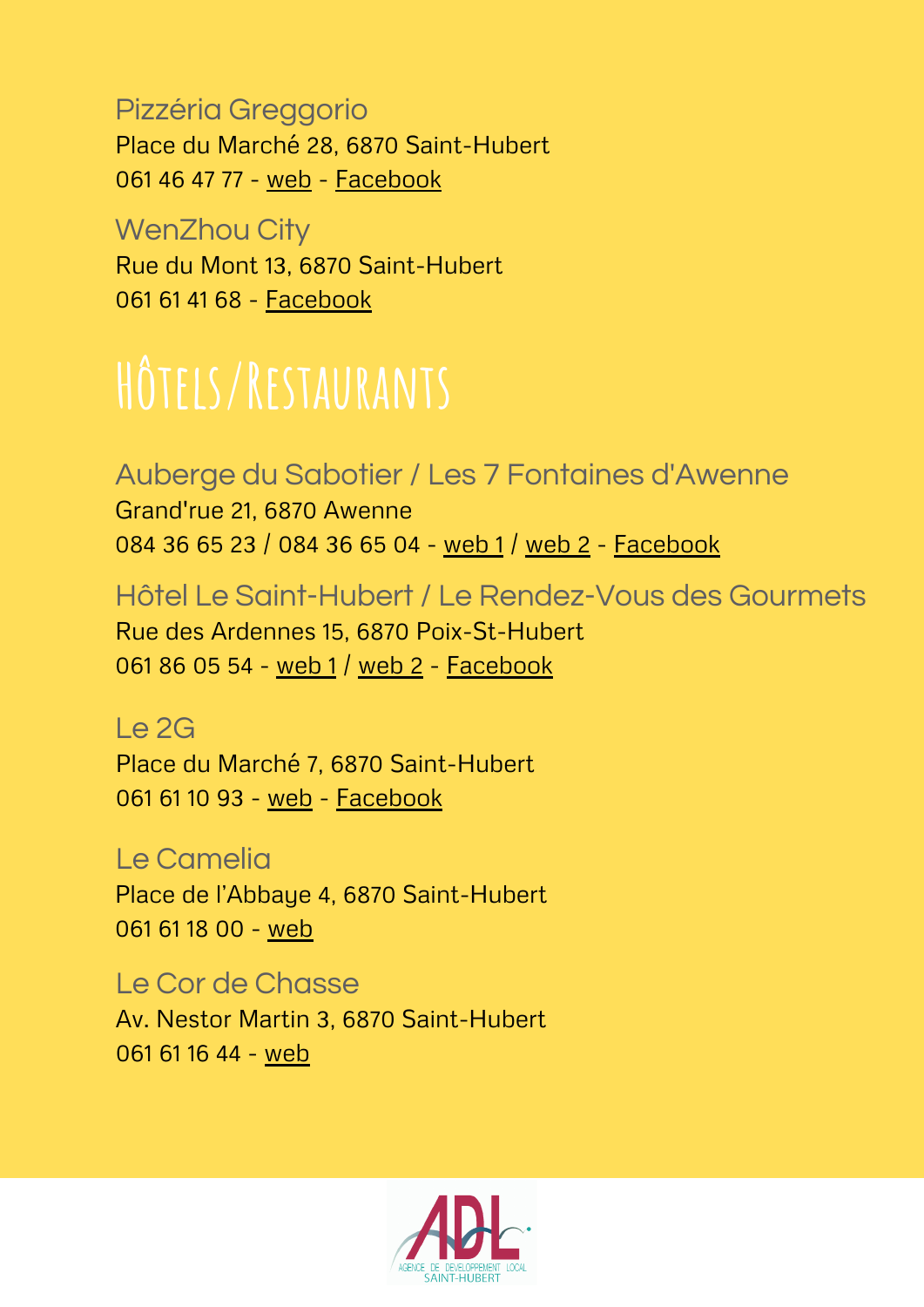#### Pizzéria Greggorio

Place du Marché 28, 6870 Saint-Hubert 061 46 47 77 - [web](https://wallux.com/greggorio-tenneville) - [Facebook](https://www.facebook.com/profile.php?id=100063457713892)

#### WenZhou City

Rue du Mont 13, 6870 Saint-Hubert 061 61 41 68 - [Facebook](https://www.facebook.com/wenzhoucity)

# **Hôtels/Restaurants**

## Auberge du Sabotier / Les 7 Fontaines d'Awenne

Grand'rue 21, 6870 Awenne 084 36 65 23 / 084 36 65 04 - [web](http://www.les7fontaines.be/) 1 / web 2 - [Facebook](https://www.facebook.com/aubergedusabotier)

Hôtel Le Saint-Hubert / Le Rendez-Vous des Gourmets

Rue des Ardennes 15, 6870 Poix-St-Hubert 061 86 05 54 - [web](http://www.rendezvousdesgourmets.be/) 1 / web 2 - [Facebook](https://www.facebook.com/hotellesainthubert)

#### Le 2G

Place du Marché 7, 6870 Saint-Hubert 061 61 10 93 - [web](http://www.hotel2g.net/) - [Facebook](https://www.facebook.com/Hotel-Restaurant-2G-122157474553571)

#### Le Camelia

Place de l'Abbaye 4, 6870 Saint-Hubert 061 61 18 00 - [web](http://hotelcamelia.be/)

#### Le Cor de Chasse

Av. Nestor Martin 3, 6870 Saint-Hubert 061 61 16 44 - [web](http://www.lecordechassesainthubert.be/)

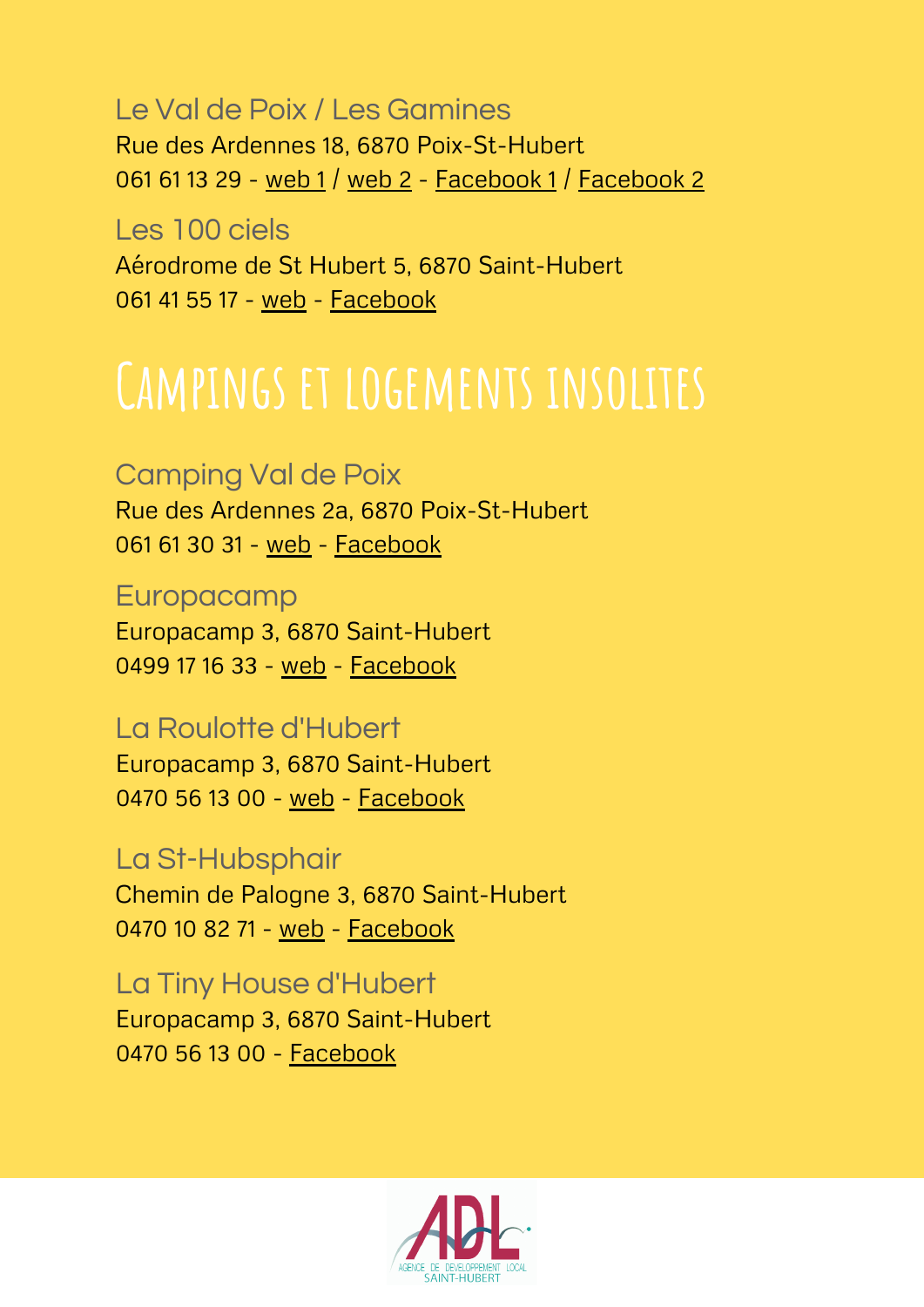Le Val de Poix / Les Gamines Rue des Ardennes 18, 6870 Poix-St-Hubert 061 61 13 29 - [web](http://www.lesgamines.be/) 1 / web 2 - [Facebook](https://www.facebook.com/Les-Gamines-1443415099225029) 1 / Facebook 2

Les 100 ciels Aérodrome de St Hubert 5, 6870 Saint-Hubert 061 41 55 17 - [web](https://www.hotelles100ciels.be/) - [Facebook](https://www.facebook.com/Hotel-Restaurant-Les-100-Ciels-459358267599951)

# **Campings et logements insolites**

Camping Val de Poix Rue des Ardennes 2a, 6870 Poix-St-Hubert 061 61 30 31 - [web](http://www.camping-valdepoix.be/) - [Facebook](https://www.facebook.com/valdepoix)

Europacamp Europacamp 3, 6870 Saint-Hubert 0499 17 16 33 - [web](http://www.camping-europacamp.be/) - [Facebook](https://www.facebook.com/campingeuropacamp)

La Roulotte d'Hubert Europacamp 3, 6870 Saint-Hubert 0470 56 13 00 - [web](http://www.roulottedhubert.be/) - [Facebook](https://www.facebook.com/laroulottedhubert)

La St-Hubsphair Chemin de Palogne 3, 6870 Saint-Hubert 0470 10 82 71 - [web](http://www.sthubsphair.be/) - [Facebook](https://www.facebook.com/Sthubsphair)

La Tiny House d'Hubert Europacamp 3, 6870 Saint-Hubert 0470 56 13 00 - [Facebook](https://www.facebook.com/tinyhousehubert/)